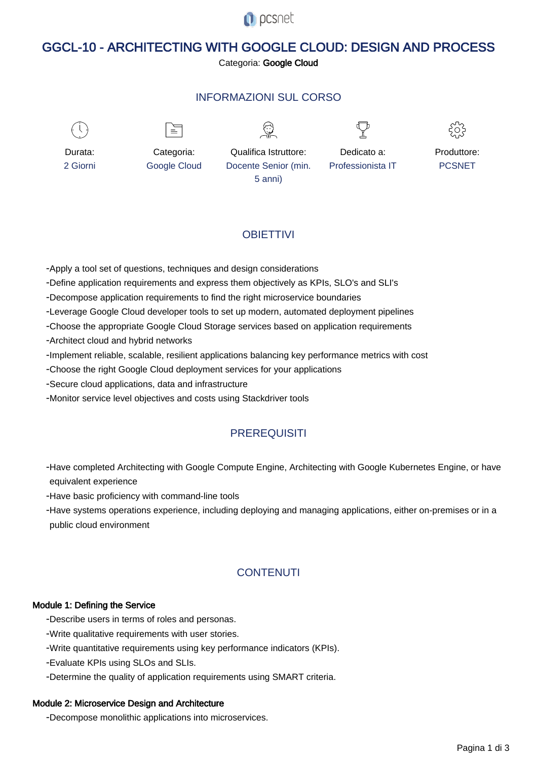**O** pcsnet

# GGCL-10 - ARCHITECTING WITH GOOGLE CLOUD: DESIGN AND PROCESS

Categoria: Google Cloud

### INFORMAZIONI SUL CORSO

 $\overline{a}$ 



Durata: 2 Giorni

Categoria: Google Cloud

 $\equiv$ 

Qualifica Istruttore: Docente Senior (min. 5 anni)

Dedicato a:



Produttore: **PCSNET** 

Professionista IT

## **OBIFTTIVI**

- Apply a tool set of questions, techniques and design considerations

- Define application requirements and express them objectively as KPIs, SLO's and SLI's

- Decompose application requirements to find the right microservice boundaries

- Leverage Google Cloud developer tools to set up modern, automated deployment pipelines

- Choose the appropriate Google Cloud Storage services based on application requirements

- Architect cloud and hybrid networks

- Implement reliable, scalable, resilient applications balancing key performance metrics with cost

- Choose the right Google Cloud deployment services for your applications

- Secure cloud applications, data and infrastructure

- Monitor service level objectives and costs using Stackdriver tools

## **PREREQUISITI**

- Have completed Architecting with Google Compute Engine, Architecting with Google Kubernetes Engine, or have equivalent experience

- Have basic proficiency with command-line tools

- Have systems operations experience, including deploying and managing applications, either on-premises or in a public cloud environment

## **CONTENUTI**

### Module 1: Defining the Service

- Describe users in terms of roles and personas.

- Write qualitative requirements with user stories.

- Write quantitative requirements using key performance indicators (KPIs).
- Evaluate KPIs using SLOs and SLIs.
- Determine the quality of application requirements using SMART criteria.

#### Module 2: Microservice Design and Architecture

- Decompose monolithic applications into microservices.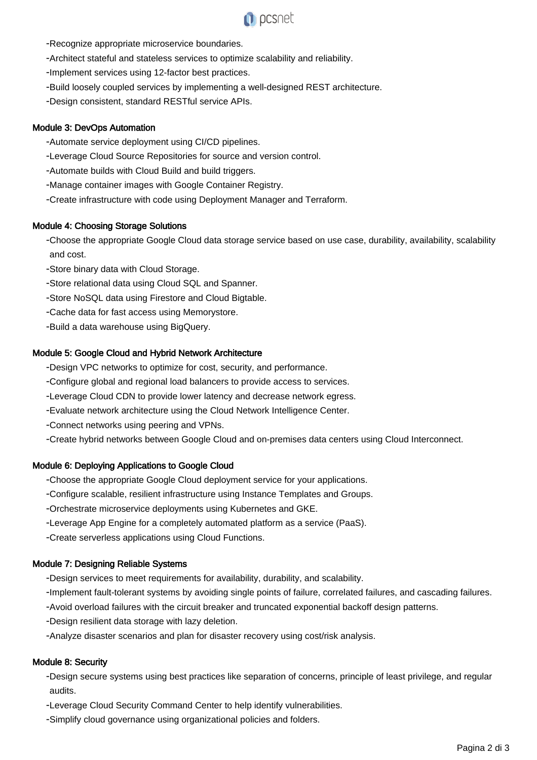

- Recognize appropriate microservice boundaries.
- Architect stateful and stateless services to optimize scalability and reliability.
- Implement services using 12-factor best practices.
- Build loosely coupled services by implementing a well-designed REST architecture.
- Design consistent, standard RESTful service APIs.

#### Module 3: DevOps Automation

- Automate service deployment using CI/CD pipelines.
- Leverage Cloud Source Repositories for source and version control.
- Automate builds with Cloud Build and build triggers.
- Manage container images with Google Container Registry.
- Create infrastructure with code using Deployment Manager and Terraform.

#### Module 4: Choosing Storage Solutions

- Choose the appropriate Google Cloud data storage service based on use case, durability, availability, scalability and cost.
- Store binary data with Cloud Storage.
- Store relational data using Cloud SQL and Spanner.
- Store NoSQL data using Firestore and Cloud Bigtable.
- Cache data for fast access using Memorystore.
- Build a data warehouse using BigQuery.

#### Module 5: Google Cloud and Hybrid Network Architecture

- Design VPC networks to optimize for cost, security, and performance.
- Configure global and regional load balancers to provide access to services.
- Leverage Cloud CDN to provide lower latency and decrease network egress.
- Evaluate network architecture using the Cloud Network Intelligence Center.
- Connect networks using peering and VPNs.
- Create hybrid networks between Google Cloud and on-premises data centers using Cloud Interconnect.

#### Module 6: Deploying Applications to Google Cloud

- Choose the appropriate Google Cloud deployment service for your applications.
- Configure scalable, resilient infrastructure using Instance Templates and Groups.
- Orchestrate microservice deployments using Kubernetes and GKE.
- Leverage App Engine for a completely automated platform as a service (PaaS).
- Create serverless applications using Cloud Functions.

#### Module 7: Designing Reliable Systems

- Design services to meet requirements for availability, durability, and scalability.
- Implement fault-tolerant systems by avoiding single points of failure, correlated failures, and cascading failures.
- Avoid overload failures with the circuit breaker and truncated exponential backoff design patterns.
- Design resilient data storage with lazy deletion.
- Analyze disaster scenarios and plan for disaster recovery using cost/risk analysis.

#### Module 8: Security

- Design secure systems using best practices like separation of concerns, principle of least privilege, and regular audits.
- Leverage Cloud Security Command Center to help identify vulnerabilities.
- Simplify cloud governance using organizational policies and folders.